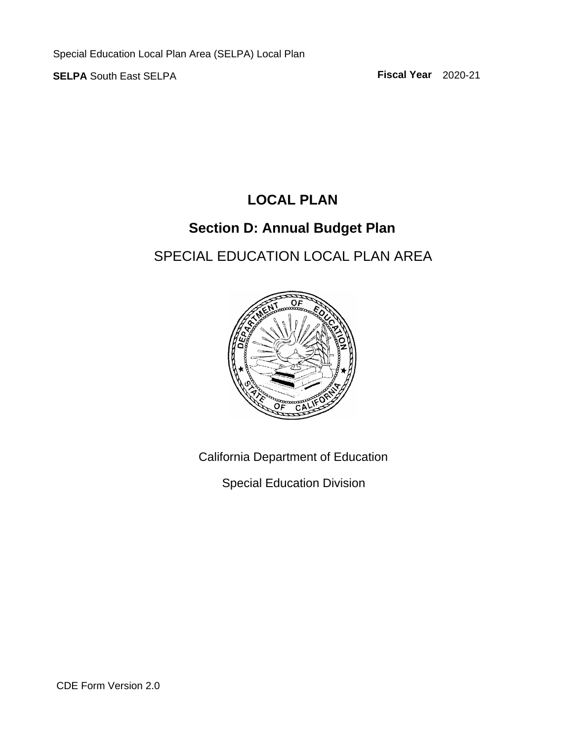## **LOCAL PLAN**

## **Section D: Annual Budget Plan**

# SPECIAL EDUCATION LOCAL PLAN AREA



California Department of Education

Special Education Division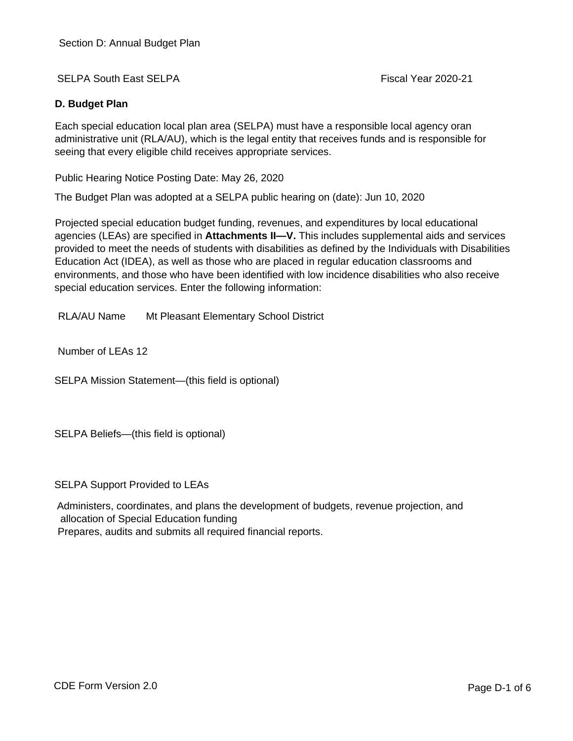#### **D. Budget Plan**

Each special education local plan area (SELPA) must have a responsible local agency oran administrative unit (RLA/AU), which is the legal entity that receives funds and is responsible for seeing that every eligible child receives appropriate services.

Public Hearing Notice Posting Date: May 26, 2020

The Budget Plan was adopted at a SELPA public hearing on (date): Jun 10, 2020

Projected special education budget funding, revenues, and expenditures by local educational agencies (LEAs) are specified in **Attachments II—V.** This includes supplemental aids and services provided to meet the needs of students with disabilities as defined by the Individuals with Disabilities Education Act (IDEA), as well as those who are placed in regular education classrooms and environments, and those who have been identified with low incidence disabilities who also receive special education services. Enter the following information:

RLA/AU Name Mt Pleasant Elementary School District

Number of LEAs 12

SELPA Mission Statement—(this field is optional)

SELPA Beliefs—(this field is optional)

SELPA Support Provided to LEAs

Administers, coordinates, and plans the development of budgets, revenue projection, and allocation of Special Education funding

Prepares, audits and submits all required financial reports.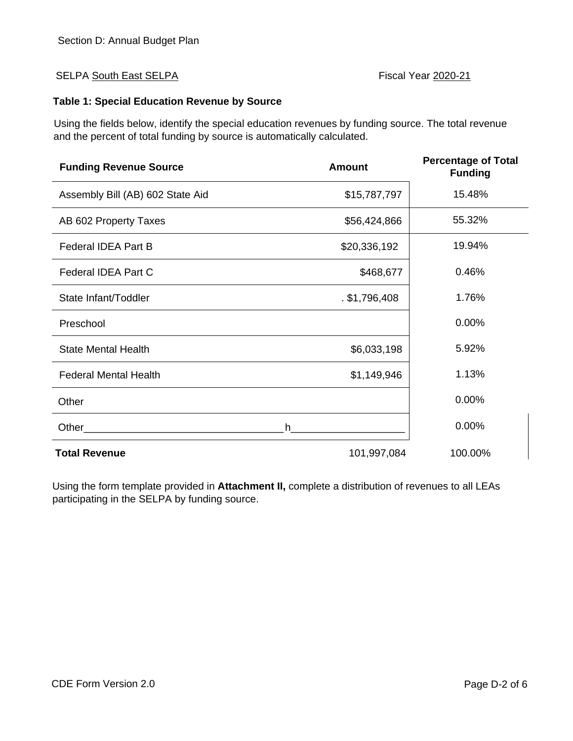#### **Table 1: Special Education Revenue by Source**

Using the fields below, identify the special education revenues by funding source. The total revenue and the percent of total funding by source is automatically calculated.

| <b>Funding Revenue Source</b>    | <b>Amount</b>   | <b>Percentage of Total</b><br><b>Funding</b> |
|----------------------------------|-----------------|----------------------------------------------|
| Assembly Bill (AB) 602 State Aid | \$15,787,797    | 15.48%                                       |
| AB 602 Property Taxes            | \$56,424,866    | 55.32%                                       |
| <b>Federal IDEA Part B</b>       | \$20,336,192    | 19.94%                                       |
| <b>Federal IDEA Part C</b>       | \$468,677       | 0.46%                                        |
| State Infant/Toddler             | $.$ \$1,796,408 | 1.76%                                        |
| Preschool                        |                 | 0.00%                                        |
| <b>State Mental Health</b>       | \$6,033,198     | 5.92%                                        |
| <b>Federal Mental Health</b>     | \$1,149,946     | 1.13%                                        |
| Other                            |                 | 0.00%                                        |
| Other                            | h.              | 0.00%                                        |
| <b>Total Revenue</b>             | 101,997,084     | 100.00%                                      |

Using the form template provided in **Attachment II,** complete a distribution of revenues to all LEAs participating in the SELPA by funding source.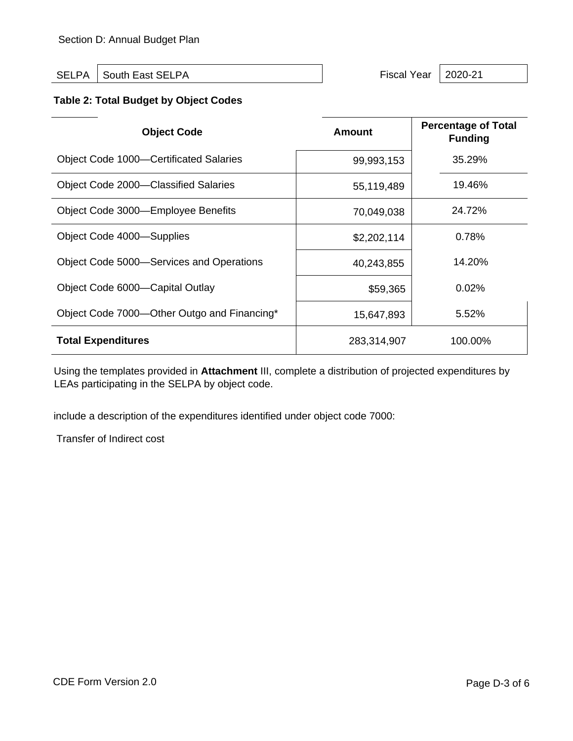SELPA South East SELPA Superintendent Contract of the SELPA Fiscal Year 2020-21

### **Table 2: Total Budget by Object Codes**

| <b>Object Code</b>                            | <b>Amount</b> | <b>Percentage of Total</b><br><b>Funding</b> |
|-----------------------------------------------|---------------|----------------------------------------------|
| <b>Object Code 1000–Certificated Salaries</b> | 99,993,153    | 35.29%                                       |
| Object Code 2000–Classified Salaries          | 55,119,489    | 19.46%                                       |
| Object Code 3000—Employee Benefits            | 70,049,038    | 24.72%                                       |
| Object Code 4000—Supplies                     | \$2,202,114   | 0.78%                                        |
| Object Code 5000-Services and Operations      | 40,243,855    | 14.20%                                       |
| Object Code 6000—Capital Outlay               | \$59,365      | 0.02%                                        |
| Object Code 7000-Other Outgo and Financing*   | 15,647,893    | 5.52%                                        |
| <b>Total Expenditures</b>                     | 283,314,907   | 100.00%                                      |

Using the templates provided in **Attachment** III, complete a distribution of projected expenditures by LEAs participating in the SELPA by object code.

include a description of the expenditures identified under object code 7000:

Transfer of Indirect cost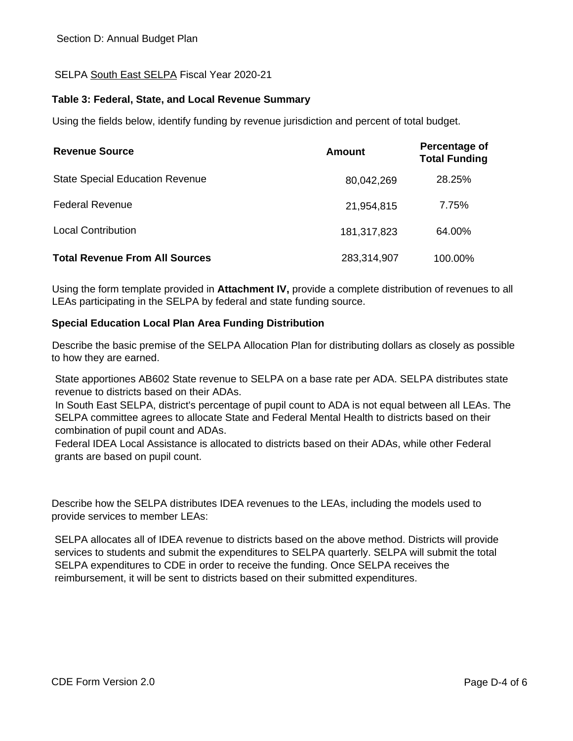#### **Table 3: Federal, State, and Local Revenue Summary**

Using the fields below, identify funding by revenue jurisdiction and percent of total budget.

| <b>Revenue Source</b>                  | Amount      | Percentage of<br><b>Total Funding</b> |
|----------------------------------------|-------------|---------------------------------------|
| <b>State Special Education Revenue</b> | 80,042,269  | 28.25%                                |
| <b>Federal Revenue</b>                 | 21,954,815  | 7.75%                                 |
| <b>Local Contribution</b>              | 181,317,823 | 64.00%                                |
| <b>Total Revenue From All Sources</b>  | 283,314,907 | 100.00%                               |

Using the form template provided in **Attachment IV,** provide a complete distribution of revenues to all LEAs participating in the SELPA by federal and state funding source.

#### **Special Education Local Plan Area Funding Distribution**

Describe the basic premise of the SELPA Allocation Plan for distributing dollars as closely as possible to how they are earned.

State apportiones AB602 State revenue to SELPA on a base rate per ADA. SELPA distributes state revenue to districts based on their ADAs.

In South East SELPA, district's percentage of pupil count to ADA is not equal between all LEAs. The SELPA committee agrees to allocate State and Federal Mental Health to districts based on their combination of pupil count and ADAs.

Federal IDEA Local Assistance is allocated to districts based on their ADAs, while other Federal grants are based on pupil count.

Describe how the SELPA distributes IDEA revenues to the LEAs, including the models used to provide services to member LEAs:

SELPA allocates all of IDEA revenue to districts based on the above method. Districts will provide services to students and submit the expenditures to SELPA quarterly. SELPA will submit the total SELPA expenditures to CDE in order to receive the funding. Once SELPA receives the reimbursement, it will be sent to districts based on their submitted expenditures.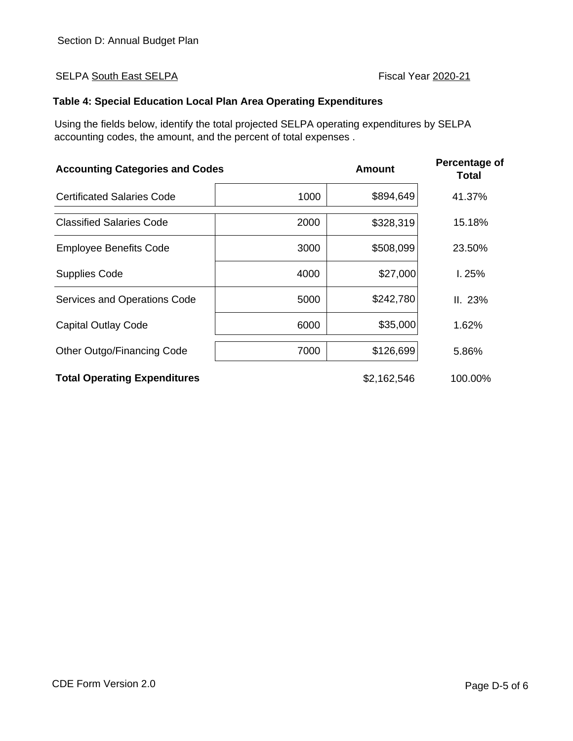#### **Table 4: Special Education Local Plan Area Operating Expenditures**

Using the fields below, identify the total projected SELPA operating expenditures by SELPA accounting codes, the amount, and the percent of total expenses .

| <b>Accounting Categories and Codes</b> |      | <b>Amount</b> | <b>Percentage of</b><br>Total |
|----------------------------------------|------|---------------|-------------------------------|
| <b>Certificated Salaries Code</b>      | 1000 | \$894,649     | 41.37%                        |
| <b>Classified Salaries Code</b>        | 2000 | \$328,319     | 15.18%                        |
| <b>Employee Benefits Code</b>          | 3000 | \$508,099     | 23.50%                        |
| <b>Supplies Code</b>                   | 4000 | \$27,000      | 1.25%                         |
| Services and Operations Code           | 5000 | \$242,780     | II. 23%                       |
| <b>Capital Outlay Code</b>             | 6000 | \$35,000      | 1.62%                         |
| Other Outgo/Financing Code             | 7000 | \$126,699     | 5.86%                         |
| <b>Total Operating Expenditures</b>    |      | \$2,162,546   | 100.00%                       |